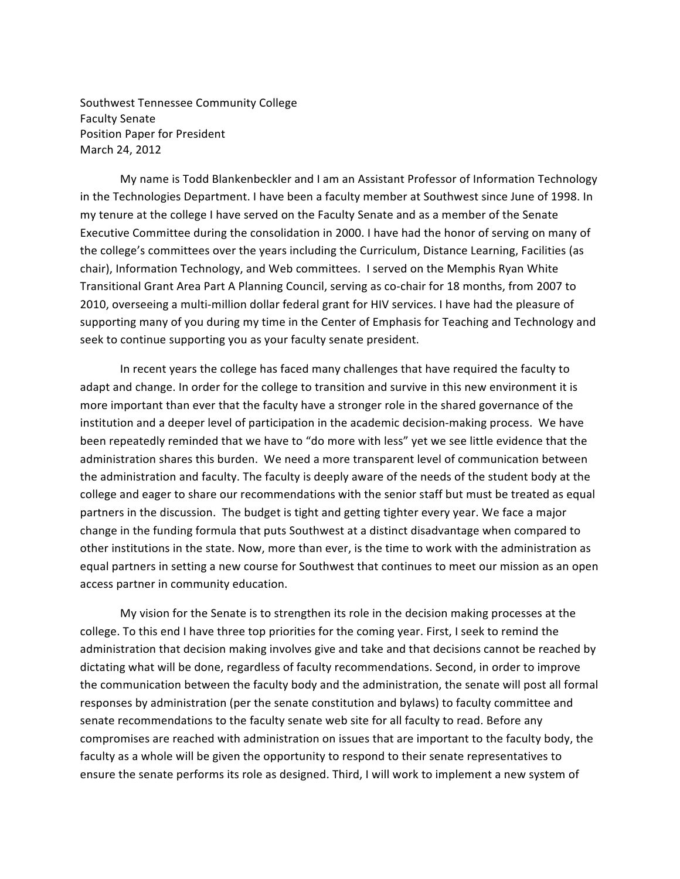Southwest Tennessee Community College **Faculty Senate** Position Paper for President March 24, 2012

My name is Todd Blankenbeckler and I am an Assistant Professor of Information Technology in the Technologies Department. I have been a faculty member at Southwest since June of 1998. In my tenure at the college I have served on the Faculty Senate and as a member of the Senate Executive Committee during the consolidation in 2000. I have had the honor of serving on many of the college's committees over the years including the Curriculum, Distance Learning, Facilities (as chair), Information Technology, and Web committees. I served on the Memphis Ryan White Transitional Grant Area Part A Planning Council, serving as co-chair for 18 months, from 2007 to 2010, overseeing a multi-million dollar federal grant for HIV services. I have had the pleasure of supporting many of you during my time in the Center of Emphasis for Teaching and Technology and seek to continue supporting you as your faculty senate president.

In recent years the college has faced many challenges that have required the faculty to adapt and change. In order for the college to transition and survive in this new environment it is more important than ever that the faculty have a stronger role in the shared governance of the institution and a deeper level of participation in the academic decision-making process. We have been repeatedly reminded that we have to "do more with less" yet we see little evidence that the administration shares this burden. We need a more transparent level of communication between the administration and faculty. The faculty is deeply aware of the needs of the student body at the college and eager to share our recommendations with the senior staff but must be treated as equal partners in the discussion. The budget is tight and getting tighter every year. We face a major change in the funding formula that puts Southwest at a distinct disadvantage when compared to other institutions in the state. Now, more than ever, is the time to work with the administration as equal partners in setting a new course for Southwest that continues to meet our mission as an open access partner in community education.

My vision for the Senate is to strengthen its role in the decision making processes at the college. To this end I have three top priorities for the coming year. First, I seek to remind the administration that decision making involves give and take and that decisions cannot be reached by dictating what will be done, regardless of faculty recommendations. Second, in order to improve the communication between the faculty body and the administration, the senate will post all formal responses by administration (per the senate constitution and bylaws) to faculty committee and senate recommendations to the faculty senate web site for all faculty to read. Before any compromises are reached with administration on issues that are important to the faculty body, the faculty as a whole will be given the opportunity to respond to their senate representatives to ensure the senate performs its role as designed. Third, I will work to implement a new system of